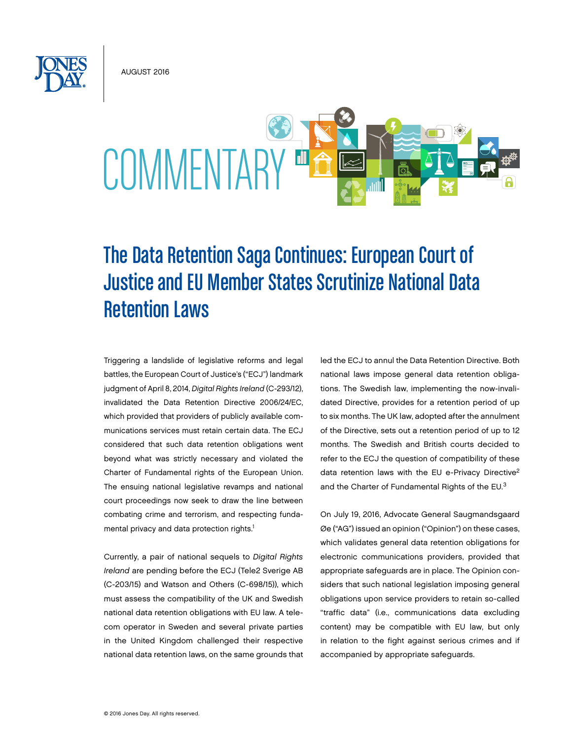August 2016



# The Data Retention Saga Continues: European Court of Justice and EU Member States Scrutinize National Data Retention Laws

Triggering a landslide of legislative reforms and legal battles, the European Court of Justice's ("ECJ") landmark judgment of April 8, 2014, *Digital Rights Ireland* (C-293/12), invalidated the Data Retention Directive 2006/24/EC, which provided that providers of publicly available communications services must retain certain data. The ECJ considered that such data retention obligations went beyond what was strictly necessary and violated the Charter of Fundamental rights of the European Union. The ensuing national legislative revamps and national court proceedings now seek to draw the line between combating crime and terrorism, and respecting fundamental privacy and data protection rights.<sup>1</sup>

Currently, a pair of national sequels to *Digital Rights Ireland* are pending before the ECJ (Tele2 Sverige AB (C-203/15) and Watson and Others (C-698/15)), which must assess the compatibility of the UK and Swedish national data retention obligations with EU law. A telecom operator in Sweden and several private parties in the United Kingdom challenged their respective national data retention laws, on the same grounds that led the ECJ to annul the Data Retention Directive. Both national laws impose general data retention obligations. The Swedish law, implementing the now-invalidated Directive, provides for a retention period of up to six months. The UK law, adopted after the annulment of the Directive, sets out a retention period of up to 12 months. The Swedish and British courts decided to refer to the ECJ the question of compatibility of these data retention laws with the EU e-Privacy Directive<sup>2</sup> and the Charter of Fundamental Rights of the EU.<sup>3</sup>

On July 19, 2016, Advocate General Saugmandsgaard Øe ("AG") issued an opinion ("Opinion") on these cases, which validates general data retention obligations for electronic communications providers, provided that appropriate safeguards are in place. The Opinion considers that such national legislation imposing general obligations upon service providers to retain so-called "traffic data" (i.e., communications data excluding content) may be compatible with EU law, but only in relation to the fight against serious crimes and if accompanied by appropriate safeguards.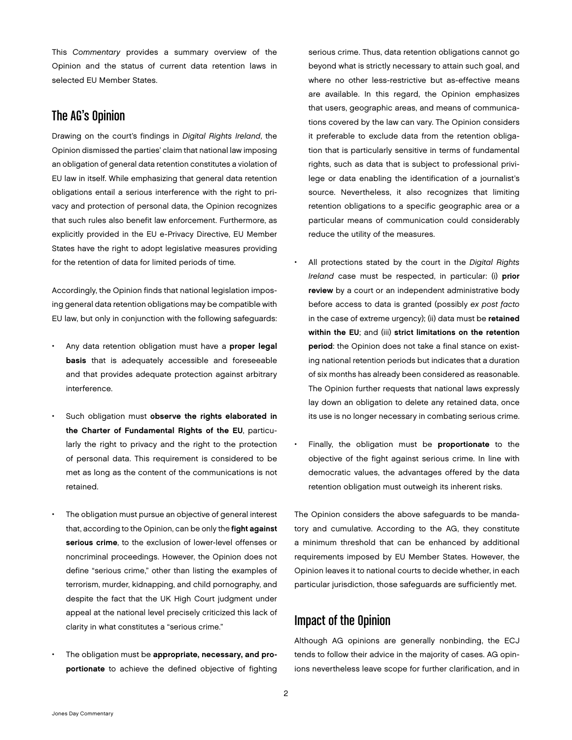This *Commentary* provides a summary overview of the Opinion and the status of current data retention laws in selected EU Member States.

## The AG's Opinion

Drawing on the court's findings in *Digital Rights Ireland*, the Opinion dismissed the parties' claim that national law imposing an obligation of general data retention constitutes a violation of EU law in itself. While emphasizing that general data retention obligations entail a serious interference with the right to privacy and protection of personal data, the Opinion recognizes that such rules also benefit law enforcement. Furthermore, as explicitly provided in the EU e-Privacy Directive, EU Member States have the right to adopt legislative measures providing for the retention of data for limited periods of time.

Accordingly, the Opinion finds that national legislation imposing general data retention obligations may be compatible with EU law, but only in conjunction with the following safeguards:

- Any data retention obligation must have a proper legal basis that is adequately accessible and foreseeable and that provides adequate protection against arbitrary interference.
- Such obligation must observe the rights elaborated in the Charter of Fundamental Rights of the EU, particularly the right to privacy and the right to the protection of personal data. This requirement is considered to be met as long as the content of the communications is not retained.
- The obligation must pursue an objective of general interest that, according to the Opinion, can be only the fight against serious crime, to the exclusion of lower-level offenses or noncriminal proceedings. However, the Opinion does not define "serious crime," other than listing the examples of terrorism, murder, kidnapping, and child pornography, and despite the fact that the UK High Court judgment under appeal at the national level precisely criticized this lack of clarity in what constitutes a "serious crime."
- The obligation must be appropriate, necessary, and proportionate to achieve the defined objective of fighting

serious crime. Thus, data retention obligations cannot go beyond what is strictly necessary to attain such goal, and where no other less-restrictive but as-effective means are available. In this regard, the Opinion emphasizes that users, geographic areas, and means of communications covered by the law can vary. The Opinion considers it preferable to exclude data from the retention obligation that is particularly sensitive in terms of fundamental rights, such as data that is subject to professional privilege or data enabling the identification of a journalist's source. Nevertheless, it also recognizes that limiting retention obligations to a specific geographic area or a particular means of communication could considerably reduce the utility of the measures.

- All protections stated by the court in the *Digital Rights Ireland* case must be respected, in particular: (i) prior review by a court or an independent administrative body before access to data is granted (possibly *ex post facto* in the case of extreme urgency); (ii) data must be retained within the EU; and (iii) strict limitations on the retention period: the Opinion does not take a final stance on existing national retention periods but indicates that a duration of six months has already been considered as reasonable. The Opinion further requests that national laws expressly lay down an obligation to delete any retained data, once its use is no longer necessary in combating serious crime.
- Finally, the obligation must be proportionate to the objective of the fight against serious crime. In line with democratic values, the advantages offered by the data retention obligation must outweigh its inherent risks.

The Opinion considers the above safeguards to be mandatory and cumulative. According to the AG, they constitute a minimum threshold that can be enhanced by additional requirements imposed by EU Member States. However, the Opinion leaves it to national courts to decide whether, in each particular jurisdiction, those safeguards are sufficiently met.

## Impact of the Opinion

Although AG opinions are generally nonbinding, the ECJ tends to follow their advice in the majority of cases. AG opinions nevertheless leave scope for further clarification, and in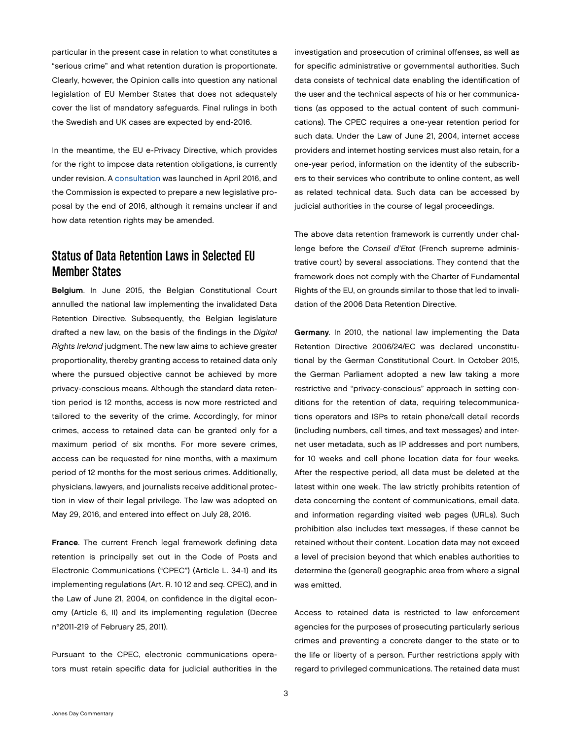particular in the present case in relation to what constitutes a "serious crime" and what retention duration is proportionate. Clearly, however, the Opinion calls into question any national legislation of EU Member States that does not adequately cover the list of mandatory safeguards. Final rulings in both the Swedish and UK cases are expected by end-2016.

In the meantime, the EU e-Privacy Directive, which provides for the right to impose data retention obligations, is currently under revision. A [consultation](https://ec.europa.eu/digital-single-market/en/news/public-consultation-evaluation-and-review-eprivacy-directive) was launched in April 2016, and the Commission is expected to prepare a new legislative proposal by the end of 2016, although it remains unclear if and how data retention rights may be amended.

#### Status of Data Retention Laws in Selected EU Member States

Belgium. In June 2015, the Belgian Constitutional Court annulled the national law implementing the invalidated Data Retention Directive. Subsequently, the Belgian legislature drafted a new law, on the basis of the findings in the *Digital Rights Ireland* judgment. The new law aims to achieve greater proportionality, thereby granting access to retained data only where the pursued objective cannot be achieved by more privacy-conscious means. Although the standard data retention period is 12 months, access is now more restricted and tailored to the severity of the crime. Accordingly, for minor crimes, access to retained data can be granted only for a maximum period of six months. For more severe crimes, access can be requested for nine months, with a maximum period of 12 months for the most serious crimes. Additionally, physicians, lawyers, and journalists receive additional protection in view of their legal privilege. The law was adopted on May 29, 2016, and entered into effect on July 28, 2016.

France. The current French legal framework defining data retention is principally set out in the Code of Posts and Electronic Communications ("CPEC") (Article L. 34-1) and its implementing regulations (Art. R. 10 12 and *seq*. CPEC), and in the Law of June 21, 2004, on confidence in the digital economy (Article 6, II) and its implementing regulation (Decree n°2011-219 of February 25, 2011).

Pursuant to the CPEC, electronic communications operators must retain specific data for judicial authorities in the investigation and prosecution of criminal offenses, as well as for specific administrative or governmental authorities. Such data consists of technical data enabling the identification of the user and the technical aspects of his or her communications (as opposed to the actual content of such communications). The CPEC requires a one-year retention period for such data. Under the Law of June 21, 2004, internet access providers and internet hosting services must also retain, for a one-year period, information on the identity of the subscribers to their services who contribute to online content, as well as related technical data. Such data can be accessed by judicial authorities in the course of legal proceedings.

The above data retention framework is currently under challenge before the *Conseil d'Etat* (French supreme administrative court) by several associations. They contend that the framework does not comply with the Charter of Fundamental Rights of the EU, on grounds similar to those that led to invalidation of the 2006 Data Retention Directive.

Germany. In 2010, the national law implementing the Data Retention Directive 2006/24/EC was declared unconstitutional by the German Constitutional Court. In October 2015, the German Parliament adopted a new law taking a more restrictive and "privacy-conscious" approach in setting conditions for the retention of data, requiring telecommunications operators and ISPs to retain phone/call detail records (including numbers, call times, and text messages) and internet user metadata, such as IP addresses and port numbers, for 10 weeks and cell phone location data for four weeks. After the respective period, all data must be deleted at the latest within one week. The law strictly prohibits retention of data concerning the content of communications, email data, and information regarding visited web pages (URLs). Such prohibition also includes text messages, if these cannot be retained without their content. Location data may not exceed a level of precision beyond that which enables authorities to determine the (general) geographic area from where a signal was emitted.

Access to retained data is restricted to law enforcement agencies for the purposes of prosecuting particularly serious crimes and preventing a concrete danger to the state or to the life or liberty of a person. Further restrictions apply with regard to privileged communications. The retained data must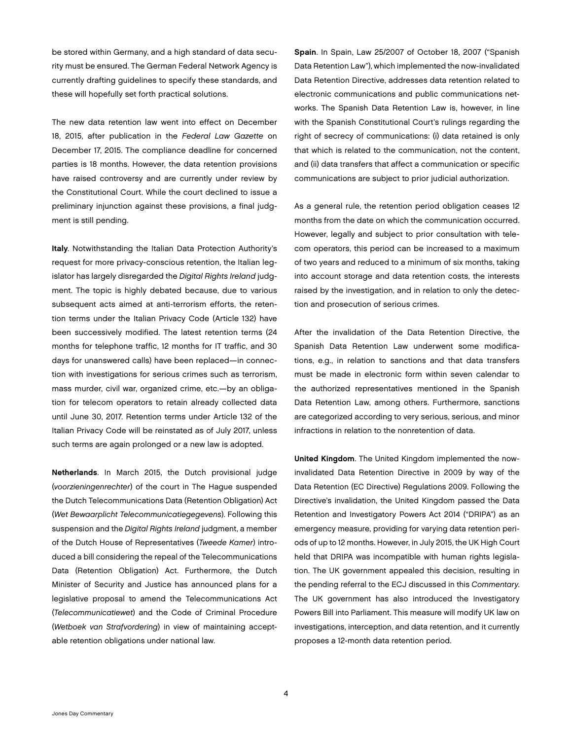be stored within Germany, and a high standard of data security must be ensured. The German Federal Network Agency is currently drafting guidelines to specify these standards, and these will hopefully set forth practical solutions.

The new data retention law went into effect on December 18, 2015, after publication in the *Federal Law Gazette* on December 17, 2015. The compliance deadline for concerned parties is 18 months. However, the data retention provisions have raised controversy and are currently under review by the Constitutional Court. While the court declined to issue a preliminary injunction against these provisions, a final judgment is still pending.

Italy. Notwithstanding the Italian Data Protection Authority's request for more privacy-conscious retention, the Italian legislator has largely disregarded the *Digital Rights Ireland* judgment. The topic is highly debated because, due to various subsequent acts aimed at anti-terrorism efforts, the retention terms under the Italian Privacy Code (Article 132) have been successively modified. The latest retention terms (24 months for telephone traffic, 12 months for IT traffic, and 30 days for unanswered calls) have been replaced—in connection with investigations for serious crimes such as terrorism, mass murder, civil war, organized crime, etc.—by an obligation for telecom operators to retain already collected data until June 30, 2017. Retention terms under Article 132 of the Italian Privacy Code will be reinstated as of July 2017, unless such terms are again prolonged or a new law is adopted.

Netherlands. In March 2015, the Dutch provisional judge (*voorzieningenrechter*) of the court in The Hague suspended the Dutch Telecommunications Data (Retention Obligation) Act (*Wet Bewaarplicht Telecommunicatiegegevens*). Following this suspension and the *Digital Rights Ireland* judgment, a member of the Dutch House of Representatives (*Tweede Kamer*) introduced a bill considering the repeal of the Telecommunications Data (Retention Obligation) Act. Furthermore, the Dutch Minister of Security and Justice has announced plans for a legislative proposal to amend the Telecommunications Act (*Telecommunicatiewet*) and the Code of Criminal Procedure (*Wetboek van Strafvordering*) in view of maintaining acceptable retention obligations under national law.

Spain. In Spain, Law 25/2007 of October 18, 2007 ("Spanish Data Retention Law"), which implemented the now-invalidated Data Retention Directive, addresses data retention related to electronic communications and public communications networks. The Spanish Data Retention Law is, however, in line with the Spanish Constitutional Court's rulings regarding the right of secrecy of communications: (i) data retained is only that which is related to the communication, not the content, and (ii) data transfers that affect a communication or specific communications are subject to prior judicial authorization.

As a general rule, the retention period obligation ceases 12 months from the date on which the communication occurred. However, legally and subject to prior consultation with telecom operators, this period can be increased to a maximum of two years and reduced to a minimum of six months, taking into account storage and data retention costs, the interests raised by the investigation, and in relation to only the detection and prosecution of serious crimes.

After the invalidation of the Data Retention Directive, the Spanish Data Retention Law underwent some modifications, e.g., in relation to sanctions and that data transfers must be made in electronic form within seven calendar to the authorized representatives mentioned in the Spanish Data Retention Law, among others. Furthermore, sanctions are categorized according to very serious, serious, and minor infractions in relation to the nonretention of data.

United Kingdom. The United Kingdom implemented the nowinvalidated Data Retention Directive in 2009 by way of the Data Retention (EC Directive) Regulations 2009. Following the Directive's invalidation, the United Kingdom passed the Data Retention and Investigatory Powers Act 2014 ("DRIPA") as an emergency measure, providing for varying data retention periods of up to 12 months. However, in July 2015, the UK High Court held that DRIPA was incompatible with human rights legislation. The UK government appealed this decision, resulting in the pending referral to the ECJ discussed in this *Commentary*. The UK government has also introduced the Investigatory Powers Bill into Parliament. This measure will modify UK law on investigations, interception, and data retention, and it currently proposes a 12-month data retention period.